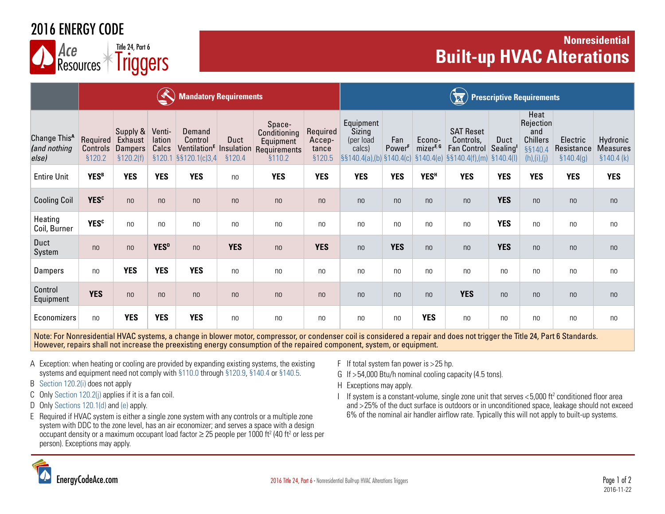## 2016 ENERGY CODE

Ace<br>Resources **Triggers** Title 24, Part 6

### **Nonresidential**  Ace  $\overline{R}$  **Built-up HVAC Alterations**

|                                                   | <b>Mandatory Requirements</b>  |                                                     |                           |                                                                                  |                |                                                               |                                       |                                            | <b>Prescriptive Requirements</b><br><b>E</b> |                                 |                                                                                                                                         |                              |                                                                         |                                      |                                           |  |
|---------------------------------------------------|--------------------------------|-----------------------------------------------------|---------------------------|----------------------------------------------------------------------------------|----------------|---------------------------------------------------------------|---------------------------------------|--------------------------------------------|----------------------------------------------|---------------------------------|-----------------------------------------------------------------------------------------------------------------------------------------|------------------------------|-------------------------------------------------------------------------|--------------------------------------|-------------------------------------------|--|
| Change This <sup>A</sup><br>(and nothing<br>else) | Required<br>Controls<br>§120.2 | Supply &<br>Exhaust<br><b>Dampers</b><br>\$120.2(f) | Venti-<br>lation<br>Calcs | Demand<br>Control<br>Ventilation <sup>E</sup> Insulation<br>§120.1 §§120.1(c)3,4 | Duct<br>§120.4 | Space-<br>Conditioning<br>Equipment<br>Requirements<br>§110.2 | Required<br>Accep-<br>tance<br>§120.5 | Equipment<br>Sizing<br>(per load<br>calcs) | Fan<br>Power <sup>F</sup>                    | Econo-<br>mizer <sup>F, G</sup> | <b>SAT Reset</b><br>Controls,<br><b>Fan Control</b><br>$\frac{1}{2}$ \$\$140.4(a),(b) \$140.4(c) \$140.4(e) \$\$140.4(f),(m) \$140.4(l) | Duct<br>Sealing <sup>1</sup> | Heat<br>Rejection<br>and<br><b>Chillers</b><br>§§140.4<br>(h), (i), (j) | Electric<br>Resistance<br>\$140.4(g) | Hydronic<br><b>Measures</b><br>\$140.4(k) |  |
| <b>Entire Unit</b>                                | <b>YESB</b>                    | <b>YES</b>                                          | <b>YES</b>                | <b>YES</b>                                                                       | n <sub>0</sub> | <b>YES</b>                                                    | <b>YES</b>                            | <b>YES</b>                                 | <b>YES</b>                                   | <b>YES<sup>H</sup></b>          | <b>YES</b>                                                                                                                              | <b>YES</b>                   | <b>YES</b>                                                              | <b>YES</b>                           | <b>YES</b>                                |  |
| <b>Cooling Coil</b>                               | <b>YES<sup>c</sup></b>         | n <sub>0</sub>                                      | n <sub>0</sub>            | n <sub>0</sub>                                                                   | n <sub>0</sub> | n <sub>0</sub>                                                | n <sub>0</sub>                        | n <sub>0</sub>                             | n <sub>0</sub>                               | n <sub>0</sub>                  | n <sub>0</sub>                                                                                                                          | <b>YES</b>                   | n <sub>0</sub>                                                          | n <sub>0</sub>                       | n <sub>0</sub>                            |  |
| Heating<br>Coil, Burner                           | <b>YES<sup>c</sup></b>         | n <sub>0</sub>                                      | no                        | n <sub>0</sub>                                                                   | n <sub>0</sub> | no                                                            | n <sub>0</sub>                        | no                                         | n <sub>0</sub>                               | n <sub>0</sub>                  | no                                                                                                                                      | <b>YES</b>                   | n <sub>0</sub>                                                          | n <sub>0</sub>                       | n <sub>0</sub>                            |  |
| Duct<br>System                                    | n <sub>0</sub>                 | n <sub>0</sub>                                      | <b>YES</b> <sup>D</sup>   | n <sub>0</sub>                                                                   | <b>YES</b>     | n <sub>0</sub>                                                | <b>YES</b>                            | n <sub>0</sub>                             | <b>YES</b>                                   | n <sub>0</sub>                  | n <sub>0</sub>                                                                                                                          | <b>YES</b>                   | n <sub>0</sub>                                                          | n <sub>0</sub>                       | n <sub>0</sub>                            |  |
| Dampers                                           | n <sub>0</sub>                 | <b>YES</b>                                          | <b>YES</b>                | <b>YES</b>                                                                       | n <sub>0</sub> | n <sub>0</sub>                                                | n <sub>0</sub>                        | n <sub>0</sub>                             | n <sub>0</sub>                               | no                              | no                                                                                                                                      | n <sub>0</sub>               | n <sub>0</sub>                                                          | n <sub>0</sub>                       | no                                        |  |
| Control<br>Equipment                              | <b>YES</b>                     | n <sub>0</sub>                                      | n <sub>0</sub>            | n <sub>0</sub>                                                                   | n <sub>0</sub> | n <sub>0</sub>                                                | n <sub>0</sub>                        | n <sub>0</sub>                             | n <sub>0</sub>                               | n <sub>0</sub>                  | <b>YES</b>                                                                                                                              | n <sub>0</sub>               | n <sub>0</sub>                                                          | n <sub>0</sub>                       | n <sub>0</sub>                            |  |
| Economizers                                       | no                             | <b>YES</b>                                          | <b>YES</b>                | <b>YES</b>                                                                       | n <sub>0</sub> | no                                                            | n <sub>0</sub>                        | no                                         | n <sub>0</sub>                               | <b>YES</b>                      | no                                                                                                                                      | n <sub>0</sub>               | n <sub>0</sub>                                                          | n <sub>0</sub>                       | n <sub>0</sub>                            |  |

Note: For Nonresidential HVAC systems, a change in blower motor, compressor, or condenser coil is considered a repair and does not trigger the Title 24, Part 6 Standards. However, repairs shall not increase the preexisting energy consumption of the repaired component, system, or equipment.

- A Exception: when heating or cooling are provided by expanding existing systems, the existing systems and equipment need not comply with [§110.0](http://energycodeace.com/site/custom/public/reference-ace-2016/index.html#!Documents/section1100systemsandequipmentgeneral.htm) through [§120.9,](http://energycodeace.com/site/custom/public/reference-ace-2016/Documents/na810section1209mandatoryrequirementsforcommercialboilers.htm) [§140.4](http://energycodeace.com/site/custom/public/reference-ace-2016/index.html#!Documents/section1404prescriptiverequirementsforspaceconditioningsystems.htm) or [§140.5.](http://energycodeace.com/site/custom/public/reference-ace-2016/Documents/na113section1405prescriptiverequirementsforservicewaterheatingsy.htm)
- B [Section 120.2\(i\)](http://energycodeace.com/site/custom/public/reference-ace-2016/index.html#!Documents/section1202requiredcontrolsforspaceconditioningsystems.htm) does not apply
- C Only [Section 120.2\(j\)](http://energycodeace.com/site/custom/public/reference-ace-2016/index.html#!Documents/section1202requiredcontrolsforspaceconditioningsystems.htm) applies if it is a fan coil.
- D Only [Sections 120.1\(d\) and \(e\)](http://energycodeace.com/site/custom/public/reference-ace-2016/index.html#!Documents/section1201requirementsforventilation.htm) apply.
- E Required if HVAC system is either a single zone system with any controls or a multiple zone system with DDC to the zone level, has an air economizer; and serves a space with a design occupant density or a maximum occupant load factor  $\geq$  25 people per 1000 ft<sup>2</sup> (40 ft<sup>2</sup> or less per person). Exceptions may apply.
- F If total system fan power is > 25 hp.
- G If > 54,000 Btu/h nominal cooling capacity (4.5 tons).
- H Exceptions may apply.
- I If system is a constant-volume, single zone unit that serves  $<$  5,000 ft<sup>2</sup> conditioned floor area and > 25% of the duct surface is outdoors or in unconditioned space, leakage should not exceed 6% of the nominal air handler airflow rate. Typically this will not apply to built-up systems.